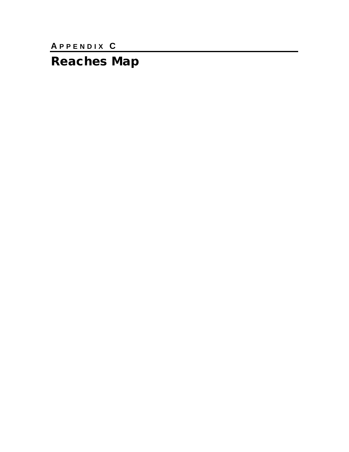APPENDIX C

**Reaches Map**